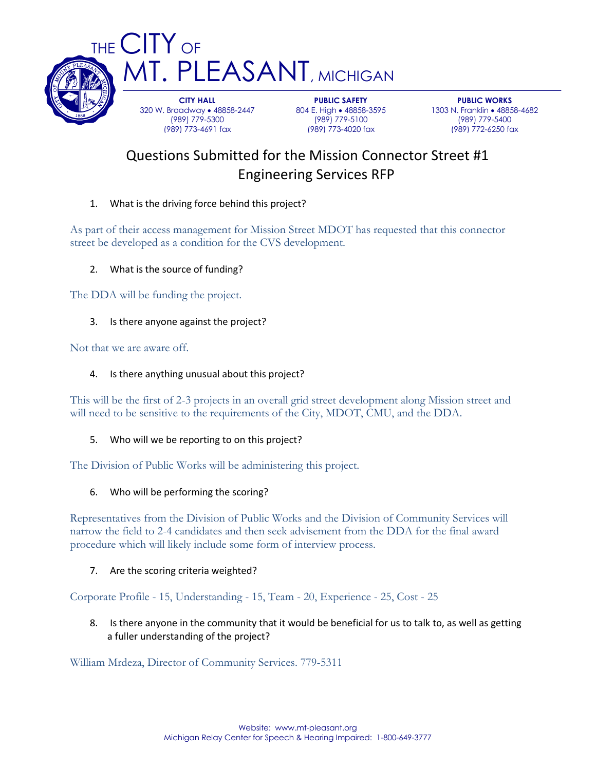

T. PLEASANT, MICHIGAN **CITY HALL** 320 W. Broadway • 48858-2447 (989) 779-5300

(989) 773-4691 fax

**PUBLIC SAFETY** 804 E. High . 48858-3595 (989) 779-5100 (989) 773-4020 fax

**PUBLIC WORKS** 1303 N. Franklin · 48858-4682 (989) 779-5400 (989) 772-6250 fax

# Questions Submitted for the Mission Connector Street #1 Engineering Services RFP

# 1. What is the driving force behind this project?

As part of their access management for Mission Street MDOT has requested that this connector street be developed as a condition for the CVS development.

2. What is the source of funding?

The DDA will be funding the project.

3. Is there anyone against the project?

Not that we are aware off.

## 4. Is there anything unusual about this project?

This will be the first of 2-3 projects in an overall grid street development along Mission street and will need to be sensitive to the requirements of the City, MDOT, CMU, and the DDA.

#### 5. Who will we be reporting to on this project?

The Division of Public Works will be administering this project.

#### 6. Who will be performing the scoring?

Representatives from the Division of Public Works and the Division of Community Services will narrow the field to 2-4 candidates and then seek advisement from the DDA for the final award procedure which will likely include some form of interview process.

## 7. Are the scoring criteria weighted?

Corporate Profile - 15, Understanding - 15, Team - 20, Experience - 25, Cost - 25

8. Is there anyone in the community that it would be beneficial for us to talk to, as well as getting a fuller understanding of the project?

William Mrdeza, Director of Community Services. 779-5311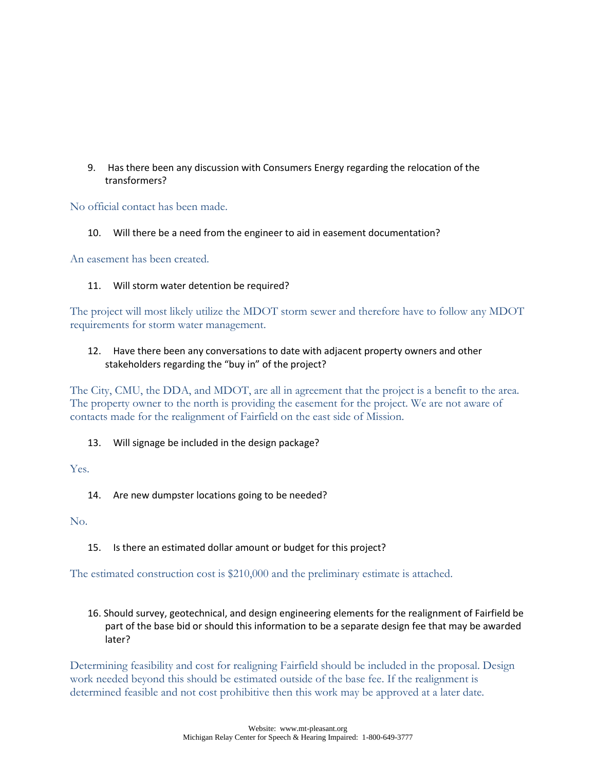9. Has there been any discussion with Consumers Energy regarding the relocation of the transformers?

No official contact has been made.

10. Will there be a need from the engineer to aid in easement documentation?

An easement has been created.

#### 11. Will storm water detention be required?

The project will most likely utilize the MDOT storm sewer and therefore have to follow any MDOT requirements for storm water management.

### 12. Have there been any conversations to date with adjacent property owners and other stakeholders regarding the "buy in" of the project?

The City, CMU, the DDA, and MDOT, are all in agreement that the project is a benefit to the area. The property owner to the north is providing the easement for the project. We are not aware of contacts made for the realignment of Fairfield on the east side of Mission.

#### 13. Will signage be included in the design package?

Yes.

14. Are new dumpster locations going to be needed?

No.

15. Is there an estimated dollar amount or budget for this project?

The estimated construction cost is \$210,000 and the preliminary estimate is attached.

16. Should survey, geotechnical, and design engineering elements for the realignment of Fairfield be part of the base bid or should this information to be a separate design fee that may be awarded later?

Determining feasibility and cost for realigning Fairfield should be included in the proposal. Design work needed beyond this should be estimated outside of the base fee. If the realignment is determined feasible and not cost prohibitive then this work may be approved at a later date.